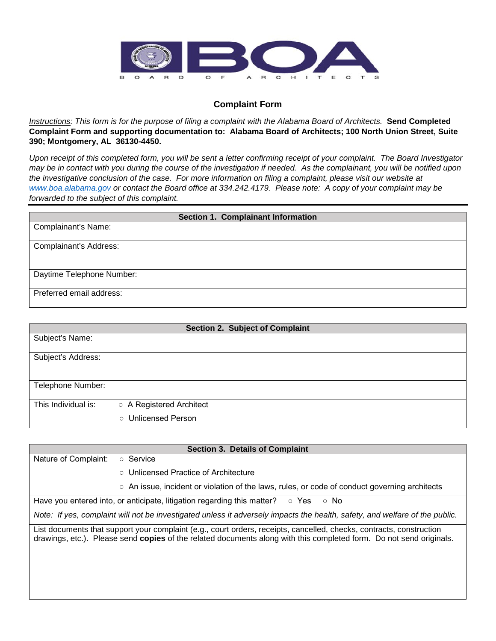

## **Complaint Form**

*Instructions: This form is for the purpose of filing a complaint with the Alabama Board of Architects.* **Send Completed Complaint Form and supporting documentation to: Alabama Board of Architects; 100 North Union Street, Suite 390; Montgomery, AL 36130-4450.**

*Upon receipt of this completed form, you will be sent a letter confirming receipt of your complaint. The Board Investigator may be in contact with you during the course of the investigation if needed. As the complainant, you will be notified upon the investigative conclusion of the case. For more information on filing a complaint, please visit our website at [www.boa.alabama.gov](http://www.boa.alabama.gov/) or contact the Board office at 334.242.4179. Please note: A copy of your complaint may be forwarded to the subject of this complaint.*

| <b>Section 1. Complainant Information</b> |  |  |
|-------------------------------------------|--|--|
| <b>Complainant's Name:</b>                |  |  |
| Complainant's Address:                    |  |  |
| Daytime Telephone Number:                 |  |  |
| Preferred email address:                  |  |  |

| Section 2. Subject of Complaint |                          |  |
|---------------------------------|--------------------------|--|
| Subject's Name:                 |                          |  |
|                                 |                          |  |
| Subject's Address:              |                          |  |
|                                 |                          |  |
|                                 |                          |  |
|                                 |                          |  |
| Telephone Number:               |                          |  |
|                                 |                          |  |
| This Individual is:             | ○ A Registered Architect |  |
|                                 |                          |  |
|                                 | ○ Unlicensed Person      |  |

| <b>Section 3. Details of Complaint</b>                                                                                                                                                                                                      |  |  |
|---------------------------------------------------------------------------------------------------------------------------------------------------------------------------------------------------------------------------------------------|--|--|
| Nature of Complaint:<br>○ Service                                                                                                                                                                                                           |  |  |
| ○ Unlicensed Practice of Architecture                                                                                                                                                                                                       |  |  |
| $\circ$ An issue, incident or violation of the laws, rules, or code of conduct governing architects                                                                                                                                         |  |  |
| Have you entered into, or anticipate, litigation regarding this matter?<br>⊙ Yes<br>$\circ$ No                                                                                                                                              |  |  |
| Note: If yes, complaint will not be investigated unless it adversely impacts the health, safety, and welfare of the public.                                                                                                                 |  |  |
| List documents that support your complaint (e.g., court orders, receipts, cancelled, checks, contracts, construction<br>drawings, etc.). Please send copies of the related documents along with this completed form. Do not send originals. |  |  |
|                                                                                                                                                                                                                                             |  |  |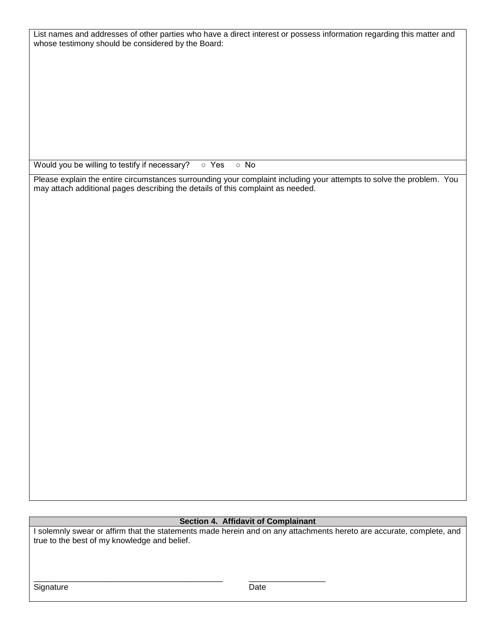| List names and addresses of other parties who have a direct interest or possess information regarding this matter and |  |
|-----------------------------------------------------------------------------------------------------------------------|--|
| whose testimony should be considered by the Board:                                                                    |  |

Would you be willing to testify if necessary? ○ Yes ○ No

Please explain the entire circumstances surrounding your complaint including your attempts to solve the problem. You may attach additional pages describing the details of this complaint as needed.

## **Section 4. Affidavit of Complainant**

I solemnly swear or affirm that the statements made herein and on any attachments hereto are accurate, complete, and true to the best of my knowledge and belief.

\_\_\_\_\_\_\_\_\_\_\_\_\_\_\_\_\_\_\_\_\_\_\_\_\_\_\_\_\_\_\_\_\_\_\_\_\_\_\_\_\_\_ \_\_\_\_\_\_\_\_\_\_\_\_\_\_\_\_\_